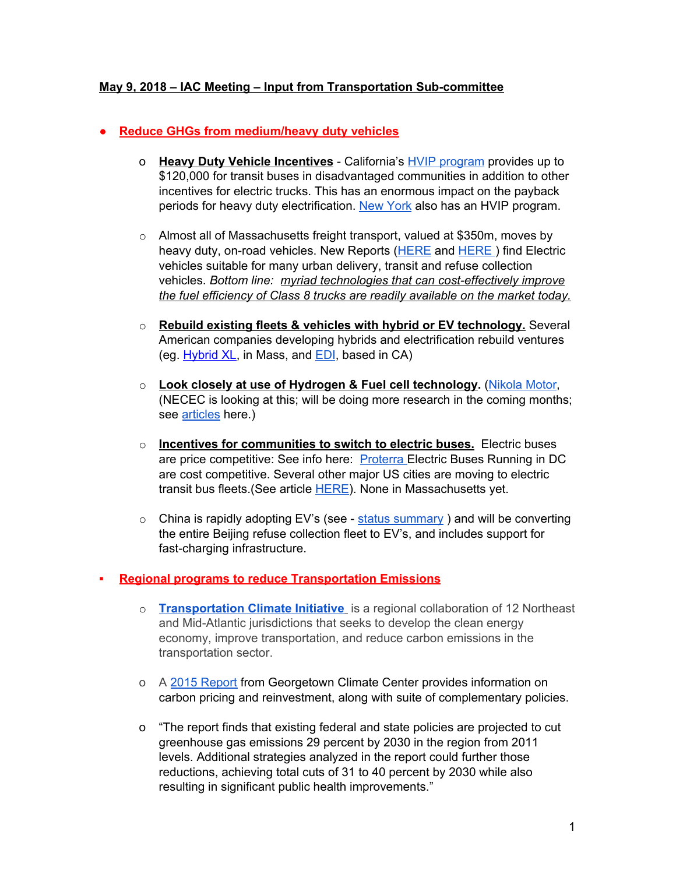### **May 9, 2018 – IAC Meeting – Input from Transportation Sub-committee**

#### ● **Reduce GHGs from medium/heavy duty vehicles**

- o **Heavy Duty Vehicle Incentives** California's HVIP [program](https://www.californiahvip.org/) provides up to \$120,000 for transit buses in disadvantaged communities in addition to other incentives for electric trucks. This has an enormous impact on the payback periods for heavy duty electrification. New [York](https://truck-vip.ny.gov/) also has an HVIP program.
- o Almost all of Massachusetts freight transport, valued at \$350m, moves by heavy duty, on-road vehicles. New Reports [\(HERE](https://nacfe.org/future-technology/electric-trucks) [a](https://nacfe.org/future-technology/electric-trucks)nd [HERE](https://www.greenbiz.com/node/110333?utm_source=newsletter&utm_medium=email&utm_term=newsletter-type-greenbuzz-daily&utm_content=2018-05-02&utm_campaign=newsletter-type-greenbuzz-daily-110280&mkt_tok=eyJpIjoiWmpFM1ptUTJPVEF3TkdZeCIsInQiOiJNTWpGUmhnbTBIVUh1Uk1IVDNMMVdGWFc4bTRiamNBN0F1dm9sYmxXTU9KZEUxWVFOTFwvZmNEemkxOEJUajVYSkFnRzJGOGk3b1d3b3k4RGNldmhrV2puYkpUclNKYzFSQzBLZ2o4ZXdpOWcrejVxSzR1emdXWXNMUW10Q0x6SWYifQ%3D%3D) ) find Electric vehicles suitable for many urban delivery, transit and refuse collection vehicles. *Bottom line: myriad technologies that can cost-effectively improve the fuel efficiency of Class 8 trucks are readily available on the market today.*
- o **Rebuild existing fleets & vehicles with hybrid or EV technology.** Several American companies developing hybrids and electrification rebuild ventures (eg. [Hybrid](http://www.xlfleet.com/) XL, in Mass, and [EDI](https://efficientdrivetrains.com/), based in CA)
- o **Look closely at use of Hydrogen & Fuel cell technology.** [\(Nikola](https://nikolamotor.com/) Motor, (NECEC is looking at this; will be doing more research in the coming months; see [articles](http://nh2e.com/news/46-nikola-motor-to-build-364-filling-stations-for-hydrogen-trucks) here.)
- o **Incentives for communities to switch to electric buses.** Electric buses are price competitive: See info here: [Proterra](https://www.proterra.com/) Electric Buses Running in DC are cost competitive. Several other major US cities are moving to electric transit bus fleets.(See article [HERE](https://cleantechnica.com/2018/04/29/no-need-to-wait-electric-buses-are-cost-competitive-transit-buses-today/)). None in Massachusetts yet.
- $\circ$  China is rapidly adopting EV's (see status [summary](https://cleantechnica.com/2017/12/16/electric-semi-trucks-heavy-duty-trucks-available-models-planned-models/)) and will be converting the entire Beijing refuse collection fleet to EV's, and includes support for fast-charging infrastructure.

#### **▪ Regional programs to reduce Transportation Emissions**

- o **[Transportation](http://www.transportationandclimate.org/) Climate Initiative** is a regional collaboration of 12 Northeast and Mid-Atlantic jurisdictions that seeks to develop the clean energy economy, improve transportation, and reduce carbon emissions in the transportation sector.
- o A 2015 [Report](http://www.georgetownclimate.org/reports/reducing-greenhouse-gas-emissions-from-transportation-opportunities-in-the-northeast-and-mid-atlantic.html) from Georgetown Climate Center provides information on carbon pricing and reinvestment, along with suite of complementary policies.
- o "The report finds that existing federal and state policies are projected to cut greenhouse gas emissions 29 percent by 2030 in the region from 2011 levels. Additional strategies analyzed in the report could further those reductions, achieving total cuts of 31 to 40 percent by 2030 while also resulting in significant public health improvements."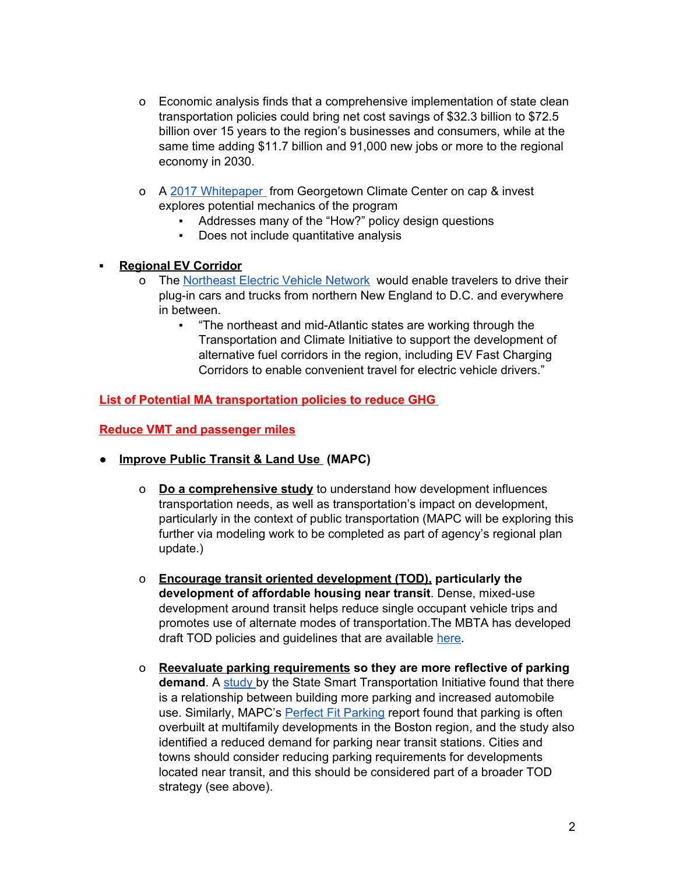- o Economic analysis finds that a comprehensive implementation of state clean transportation policies could bring net cost savings of \$32.3 billion to \$72.5 billion over 15 years to the region's businesses and consumers, while at the same time adding \$11.7 billion and 91,000 new jobs or more to the regional economy in 2030.
- o A 2017 [Whitepaper](http://www.georgetownclimate.org/files/report/GCC_TransportationFuelSystemConsiderations_Nov2017.pdf) from Georgetown Climate Center on cap & invest explores potential mechanics of the program
	- Addresses many of the "How?" policy design questions
	- Does not include quantitative analysis

### **▪ Regional EV Corridor**

- o The [Northeast](http://www.transportationandclimate.org/node/30) Electric Vehicle Network would enable travelers to drive their plug-in cars and trucks from northern New England to D.C. and everywhere in between.
	- "The northeast and mid-Atlantic states are working through the Transportation and Climate Initiative to support the development of alternative fuel corridors in the region, including EV Fast Charging Corridors to enable convenient travel for electric vehicle drivers."

**List of Potential MA transportation policies to reduce GHG**

#### **Reduce VMT and passenger miles**

- **Improve Public Transit & Land Use (MAPC)**
	- o **Do a comprehensive study** to understand how development influences transportation needs, as well as transportation's impact on development, particularly in the context of public transportation (MAPC will be exploring this further via modeling work to be completed as part of agency's regional plan update.)
	- o **Encourage transit oriented development (TOD), particularly the development of affordable housing near transit**. Dense, mixed-use development around transit helps reduce single occupant vehicle trips and promotes use of alternate modes of transportation.The MBTA has developed draft TOD policies and guidelines that are available [here.](https://www.mass.gov/files/documents/2017/10/17/TOD_Policy.pdf)
	- o **Reevaluate parking requirements so they are more reflective of parking demand**. A [study](https://www.ssti.us/wp/wp-content/uploads/2016/01/TRB_2016_Parking_causality_TRB_compendium.pdf) by the State Smart Transportation Initiative found that there is a relationship between building more parking and increased automobile use. Similarly, MAPC's Perfect Fit [Parking](http://perfectfitparking.mapc.org/) report found that parking is often overbuilt at multifamily developments in the Boston region, and the study also identified a reduced demand for parking near transit stations. Cities and towns should consider reducing parking requirements for developments located near transit, and this should be considered part of a broader TOD strategy (see above).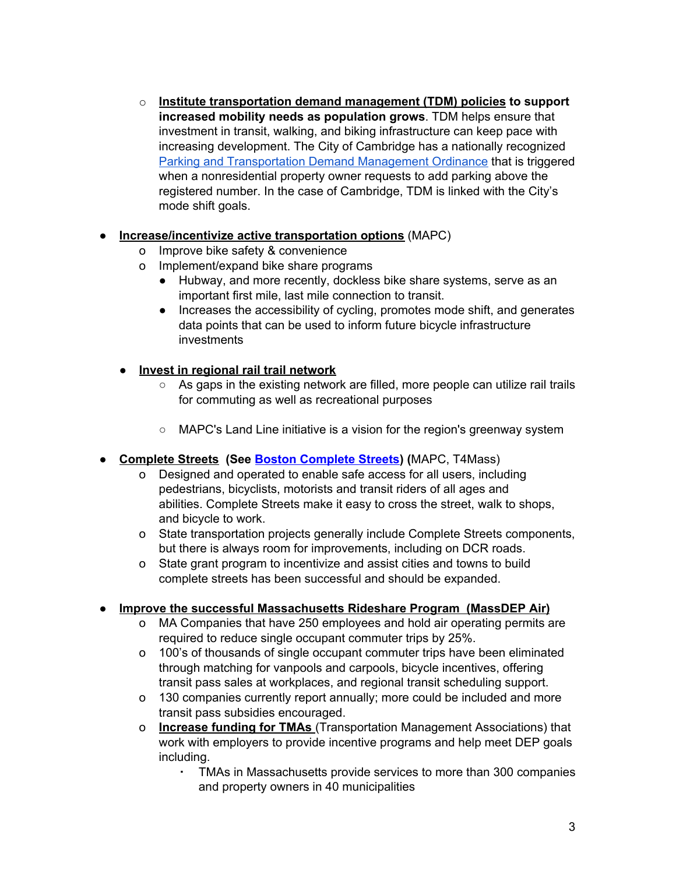o **Institute transportation demand management (TDM) policies to support increased mobility needs as population grows**. TDM helps ensure that investment in transit, walking, and biking infrastructure can keep pace with increasing development. The City of Cambridge has a nationally recognized Parking and [Transportation](http://www.cambridgema.gov/CDD/Transportation/fordevelopers/ptdm) Demand Management Ordinance that is triggered when a nonresidential property owner requests to add parking above the registered number. In the case of Cambridge, TDM is linked with the City's mode shift goals.

# ● **Increase/incentivize active transportation options** (MAPC)

- o Improve bike safety & convenience
- o Implement/expand bike share programs
	- Hubway, and more recently, dockless bike share systems, serve as an important first mile, last mile connection to transit.
	- Increases the accessibility of cycling, promotes mode shift, and generates data points that can be used to inform future bicycle infrastructure investments

# **● Invest in regional rail trail network**

- As gaps in the existing network are filled, more people can utilize rail trails for commuting as well as recreational purposes
- MAPC's Land Line initiative is a vision for the region's greenway system
- **● Complete Streets (See Boston [Complete](http://bostoncompletestreets.org/about/) Streets) (**MAPC, T4Mass)
	- Designed and operated to enable safe access for all users, including pedestrians, bicyclists, motorists and transit riders of all ages and abilities. Complete Streets make it easy to cross the street, walk to shops, and bicycle to work.
	- o State transportation projects generally include Complete Streets components, but there is always room for improvements, including on DCR roads.
	- o State grant program to incentivize and assist cities and towns to build complete streets has been successful and should be expanded.

#### **● Improve the successful Massachusetts Rideshare Program (MassDEP Air)**

- o MA Companies that have 250 employees and hold air operating permits are required to reduce single occupant commuter trips by 25%.
- o 100's of thousands of single occupant commuter trips have been eliminated through matching for vanpools and carpools, bicycle incentives, offering transit pass sales at workplaces, and regional transit scheduling support.
- o 130 companies currently report annually; more could be included and more transit pass subsidies encouraged.
- o **Increase funding for TMAs** (Transportation Management Associations) that work with employers to provide incentive programs and help meet DEP goals including.
	- TMAs in Massachusetts provide services to more than 300 companies and property owners in 40 municipalities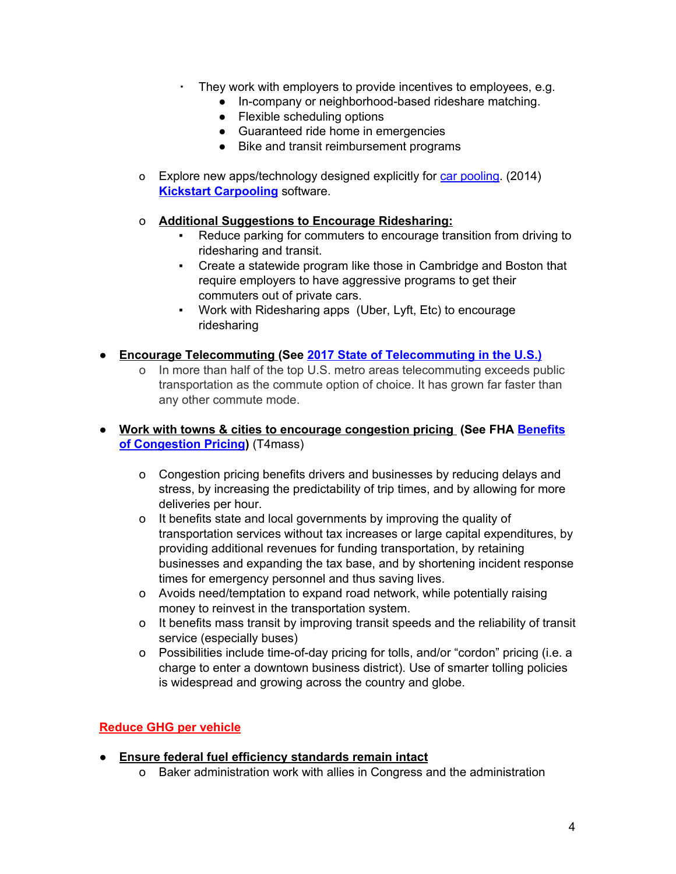- They work with employers to provide incentives to employees, e.g.
	- In-company or neighborhood-based rideshare matching.
	- Flexible scheduling options
	- Guaranteed ride home in emergencies
	- Bike and transit reimbursement programs
- o Explore new apps/technology designed explicitly for car [pooling](https://www.techrepublic.com/article/10-rideshare-apps-to-crowdsource-your-commute/). (2014) **Kickstart [Carpooling](https://www.comovee.com/carpooling-incentive-company/)** software.

#### o **Additional Suggestions to Encourage Ridesharing:**

- Reduce parking for commuters to encourage transition from driving to ridesharing and transit.
- Create a statewide program like those in Cambridge and Boston that require employers to have aggressive programs to get their commuters out of private cars.
- Work with Ridesharing apps (Uber, Lyft, Etc) to encourage ridesharing
- **● Encourage Telecommuting (See 2017 State of [Telecommuting](https://www.flexjobs.com/2017-State-of-Telecommuting-US/) in the U.S.)**
	- In more than half of the top U.S. metro areas telecommuting exceeds public transportation as the commute option of choice. It has grown far faster than any other commute mode.
- **● Work with towns & cities to encourage congestion pricing (See FHA [Benefits](https://ops.fhwa.dot.gov/publications/congestionpricing/sec3.htm) of [Congestion](https://ops.fhwa.dot.gov/publications/congestionpricing/sec3.htm) Pricing)** (T4mass)
	- o Congestion pricing benefits drivers and businesses by reducing delays and stress, by increasing the predictability of trip times, and by allowing for more deliveries per hour.
	- o It benefits state and local governments by improving the quality of transportation services without tax increases or large capital expenditures, by providing additional revenues for funding transportation, by retaining businesses and expanding the tax base, and by shortening incident response times for emergency personnel and thus saving lives.
	- o Avoids need/temptation to expand road network, while potentially raising money to reinvest in the transportation system.
	- o It benefits mass transit by improving transit speeds and the reliability of transit service (especially buses)
	- o Possibilities include time-of-day pricing for tolls, and/or "cordon" pricing (i.e. a charge to enter a downtown business district). Use of smarter tolling policies is widespread and growing across the country and globe.

# **Reduce GHG per vehicle**

- **● Ensure federal fuel efficiency standards remain intact**
	- o Baker administration work with allies in Congress and the administration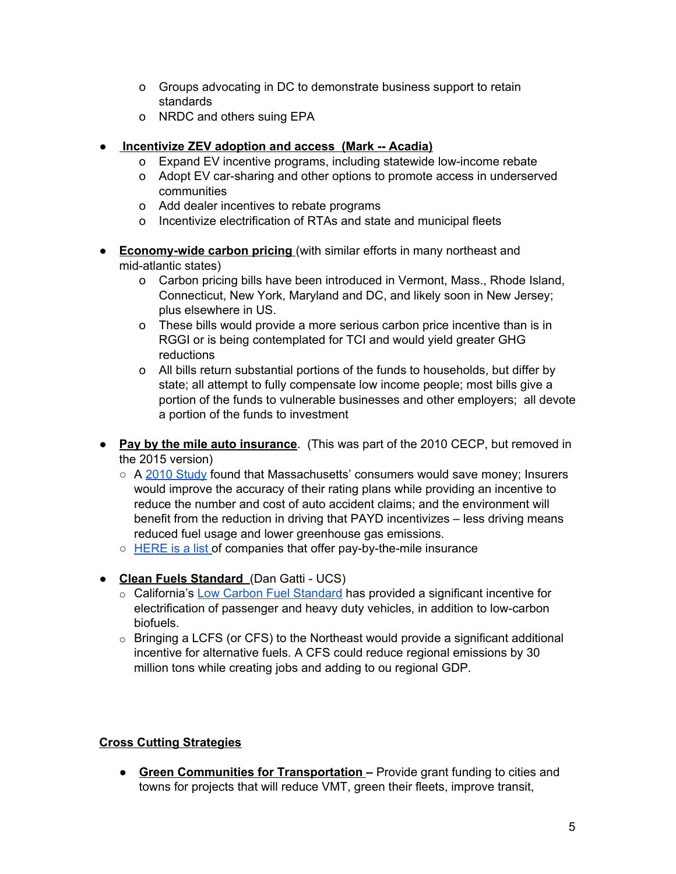- o Groups advocating in DC to demonstrate business support to retain standards
- o NRDC and others suing EPA

# **● Incentivize ZEV adoption and access (Mark -- Acadia)**

- o Expand EV incentive programs, including statewide low-income rebate
- o Adopt EV car-sharing and other options to promote access in underserved communities
- o Add dealer incentives to rebate programs
- o Incentivize electrification of RTAs and state and municipal fleets
- **Economy-wide carbon pricing** (with similar efforts in many northeast and mid-atlantic states)
	- o Carbon pricing bills have been introduced in Vermont, Mass., Rhode Island, Connecticut, New York, Maryland and DC, and likely soon in New Jersey; plus elsewhere in US.
	- o These bills would provide a more serious carbon price incentive than is in RGGI or is being contemplated for TCI and would yield greater GHG reductions
	- o All bills return substantial portions of the funds to households, but differ by state; all attempt to fully compensate low income people; most bills give a portion of the funds to vulnerable businesses and other employers; all devote a portion of the funds to investment
- **Pay by the mile auto insurance**. (This was part of the 2010 CECP, but removed in the 2015 version)
	- A 2010 [Study](http://www.clf.org/wp-content/uploads/2010/12/CLF-PAYD-Study_November-2010.pdf) found that Massachusetts' consumers would save money; Insurers would improve the accuracy of their rating plans while providing an incentive to reduce the number and cost of auto accident claims; and the environment will benefit from the reduction in driving that PAYD incentivizes – less driving means reduced fuel usage and lower greenhouse gas emissions.
	- [HERE](https://www.insurance.com/auto-insurance/auto-insurance-basics/pay-per-mile-auto-insurance.aspx) is a list of companies that offer pay-by-the-mile insurance
- **Clean Fuels Standard** (Dan Gatti UCS)
	- o California's Low Carbon Fuel [Standard](https://www.ucsusa.org/LCFSandEVs#.WvHE9dMvyRs) has provided a significant incentive for electrification of passenger and heavy duty vehicles, in addition to low-carbon biofuels.
	- $\circ$  Bringing a LCFS (or CFS) to the Northeast would provide a significant additional incentive for alternative fuels. A CFS could reduce regional emissions by 30 million tons while creating jobs and adding to ou regional GDP.

# **Cross Cutting Strategies**

● **Green Communities for Transportation –** Provide grant funding to cities and towns for projects that will reduce VMT, green their fleets, improve transit,